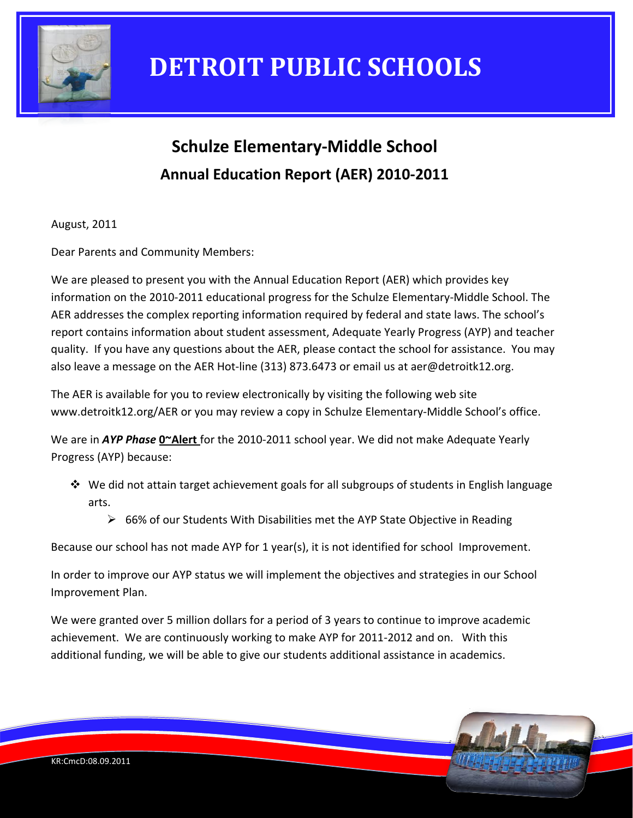

### **Schulze Elementary‐Middle School Annual Education Report (AER) 2010‐2011**

August, 2011

Dear Parents and Community Members:

We are pleased to present you with the Annual Education Report (AER) which provides key information on the 2010‐2011 educational progress for the Schulze Elementary‐Middle School. The AER addresses the complex reporting information required by federal and state laws. The school's report contains information about student assessment, Adequate Yearly Progress (AYP) and teacher quality. If you have any questions about the AER, please contact the school for assistance. You may also leave a message on the AER Hot-line (313) 873.6473 or email us at aer@detroitk12.org.

The AER is available for you to review electronically by visiting the following web site www.detroitk12.org/AER or you may review a copy in Schulze Elementary‐Middle School's office.

We are in *AYP Phase* **0~Alert** for the 2010‐2011 school year. We did not make Adequate Yearly Progress (AYP) because:

- $\div$  We did not attain target achievement goals for all subgroups of students in English language arts.
	- $\triangleright$  66% of our Students With Disabilities met the AYP State Objective in Reading

Because our school has not made AYP for 1 year(s), it is not identified for school Improvement.

In order to improve our AYP status we will implement the objectives and strategies in our School Improvement Plan.

We were granted over 5 million dollars for a period of 3 years to continue to improve academic achievement. We are continuously working to make AYP for 2011‐2012 and on. With this additional funding, we will be able to give our students additional assistance in academics.

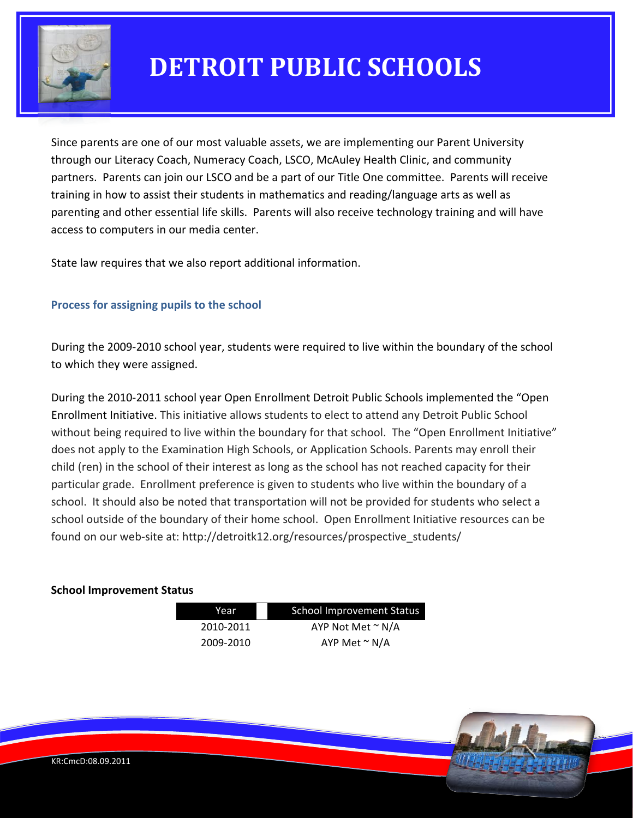

Since parents are one of our most valuable assets, we are implementing our Parent University through our Literacy Coach, Numeracy Coach, LSCO, McAuley Health Clinic, and community partners. Parents can join our LSCO and be a part of our Title One committee. Parents will receive training in how to assist their students in mathematics and reading/language arts as well as parenting and other essential life skills. Parents will also receive technology training and will have access to computers in our media center.

State law requires that we also report additional information.

### **Process for assigning pupils to the school**

During the 2009‐2010 school year, students were required to live within the boundary of the school to which they were assigned.

During the 2010‐2011 school year Open Enrollment Detroit Public Schools implemented the "Open Enrollment Initiative. This initiative allows students to elect to attend any Detroit Public School without being required to live within the boundary for that school. The "Open Enrollment Initiative" does not apply to the Examination High Schools, or Application Schools. Parents may enroll their child (ren) in the school of their interest as long as the school has not reached capacity for their particular grade. Enrollment preference is given to students who live within the boundary of a school. It should also be noted that transportation will not be provided for students who select a school outside of the boundary of their home school. Open Enrollment Initiative resources can be found on our web-site at: http://detroitk12.org/resources/prospective\_students/

#### **School Improvement Status**

| Year      | <b>School Improvement Status</b> |  |
|-----------|----------------------------------|--|
| 2010-2011 | AYP Not Met $\sim N/A$           |  |
| 2009-2010 | AYP Met $\sim$ N/A               |  |

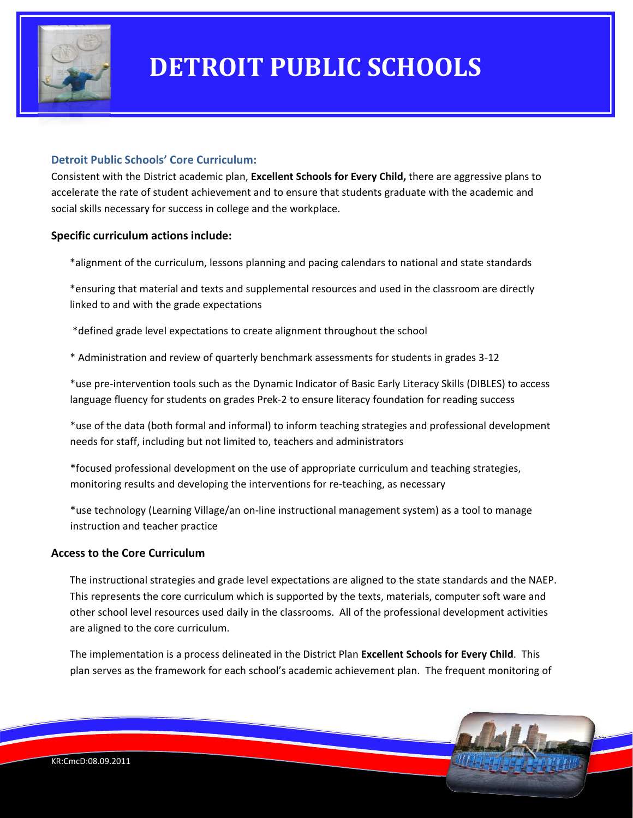

#### **Detroit Public Schools' Core Curriculum:**

Consistent with the District academic plan, **Excellent Schools for Every Child,** there are aggressive plans to accelerate the rate of student achievement and to ensure that students graduate with the academic and social skills necessary for success in college and the workplace.

#### **Specific curriculum actions include:**

\*alignment of the curriculum, lessons planning and pacing calendars to national and state standards

\*ensuring that material and texts and supplemental resources and used in the classroom are directly linked to and with the grade expectations

\*defined grade level expectations to create alignment throughout the school

\* Administration and review of quarterly benchmark assessments for students in grades 3‐12

\*use pre‐intervention tools such as the Dynamic Indicator of Basic Early Literacy Skills (DIBLES) to access language fluency for students on grades Prek‐2 to ensure literacy foundation for reading success

\*use of the data (both formal and informal) to inform teaching strategies and professional development needs for staff, including but not limited to, teachers and administrators

\*focused professional development on the use of appropriate curriculum and teaching strategies, monitoring results and developing the interventions for re-teaching, as necessary

\*use technology (Learning Village/an on‐line instructional management system) as a tool to manage instruction and teacher practice

#### **Access to the Core Curriculum**

The instructional strategies and grade level expectations are aligned to the state standards and the NAEP. This represents the core curriculum which is supported by the texts, materials, computer soft ware and other school level resources used daily in the classrooms. All of the professional development activities are aligned to the core curriculum.

The implementation is a process delineated in the District Plan **Excellent Schools for Every Child**. This plan serves as the framework for each school's academic achievement plan. The frequent monitoring of

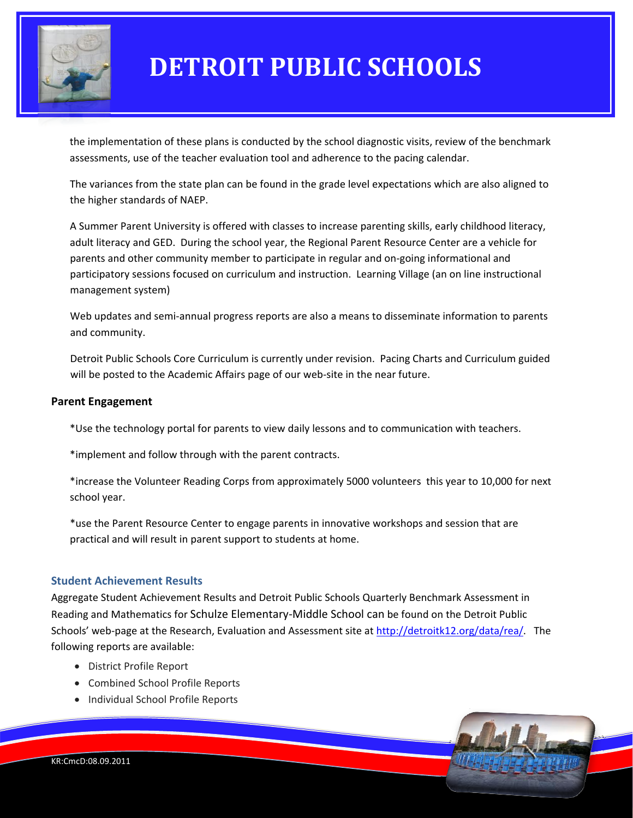

the implementation of these plans is conducted by the school diagnostic visits, review of the benchmark assessments, use of the teacher evaluation tool and adherence to the pacing calendar.

The variances from the state plan can be found in the grade level expectations which are also aligned to the higher standards of NAEP.

A Summer Parent University is offered with classes to increase parenting skills, early childhood literacy, adult literacy and GED. During the school year, the Regional Parent Resource Center are a vehicle for parents and other community member to participate in regular and on‐going informational and participatory sessions focused on curriculum and instruction. Learning Village (an on line instructional management system)

Web updates and semi-annual progress reports are also a means to disseminate information to parents and community.

Detroit Public Schools Core Curriculum is currently under revision. Pacing Charts and Curriculum guided will be posted to the Academic Affairs page of our web-site in the near future.

#### **Parent Engagement**

\*Use the technology portal for parents to view daily lessons and to communication with teachers.

\*implement and follow through with the parent contracts.

\*increase the Volunteer Reading Corps from approximately 5000 volunteers this year to 10,000 for next school year.

\*use the Parent Resource Center to engage parents in innovative workshops and session that are practical and will result in parent support to students at home.

#### **Student Achievement Results**

Aggregate Student Achievement Results and Detroit Public Schools Quarterly Benchmark Assessment in Reading and Mathematics for Schulze Elementary‐Middle School can be found on the Detroit Public Schools' web-page at the Research, Evaluation and Assessment site at <http://detroitk12.org/data/rea/>. The following reports are available:

- District Profile Report
- Combined School Profile Reports
- Individual School Profile Reports